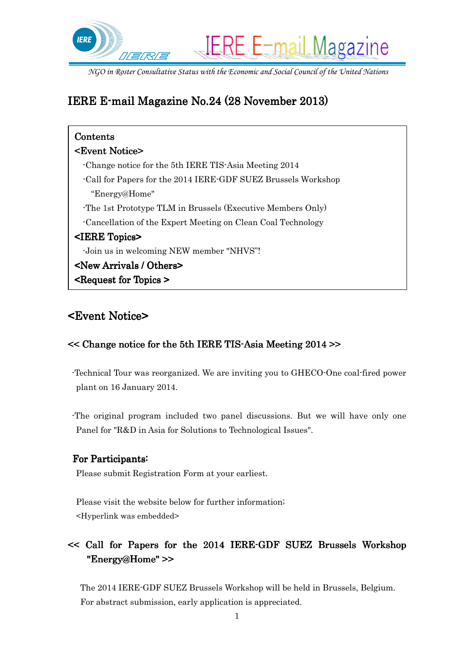

# IERE E-mail Magazine No.24 (28 November 2013)

| Contents                                                      |  |  |  |
|---------------------------------------------------------------|--|--|--|
| <event notice=""></event>                                     |  |  |  |
| -Change notice for the 5th IERE TIS-Asia Meeting 2014         |  |  |  |
| -Call for Papers for the 2014 IERE-GDF SUEZ Brussels Workshop |  |  |  |
| "Energy@Home"                                                 |  |  |  |
| The 1st Prototype TLM in Brussels (Executive Members Only)    |  |  |  |
| Cancellation of the Expert Meeting on Clean Coal Technology   |  |  |  |
| <iere topics=""></iere>                                       |  |  |  |
| -Join us in welcoming NEW member "NHVS"!                      |  |  |  |
| <b><new arrivals="" others=""></new></b>                      |  |  |  |
| $\leq$ Request for Topics $\geq$                              |  |  |  |

## <Event Notice> <Event Notice>

### $<<$  Change notice for the 5th IERE TIS-Asia Meeting 2014 >>

 -Technical Tour was reorganized. We are inviting you to GHECO-One coal-fired power plant on 16 January 2014.

 -The original program included two panel discussions. But we will have only one Panel for "R&D in Asia for Solutions to Technological Issues".

#### For Participants:

Please submit Registration Form at your earliest.

Please visit the website below for further information; <Hyperlink was embedded>

## $\leq$  Call for Papers for the 2014 IERE-GDF SUEZ Brussels Workshop "Energy@Home" >>

 The 2014 IERE-GDF SUEZ Brussels Workshop will be held in Brussels, Belgium. For abstract submission, early application is appreciated.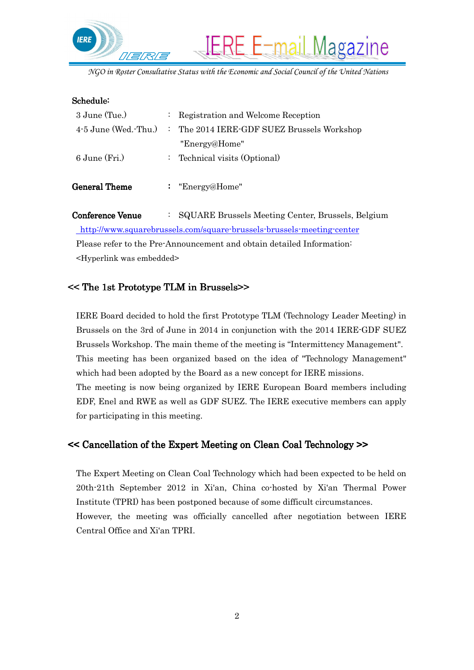

#### Schedule:

| 3 June (Tue.)          | : Registration and Welcome Reception       |
|------------------------|--------------------------------------------|
| $4-5$ June (Wed. Thu.) | : The 2014 IERE-GDF SUEZ Brussels Workshop |
|                        | "Energy@Home"                              |
| $6$ June $(Fri.)$      | : Technical visits (Optional)              |
|                        |                                            |
| <b>General Theme</b>   | : "Energy@Home"                            |
|                        |                                            |

Conference Venue : SQUARE Brussels Meeting Center, Brussels, Belgium http://www.squarebrussels.com/square-brussels-brussels-meeting-center Please refer to the Pre-Announcement and obtain detailed Information: <Hyperlink was embedded>

### << The 1st Prototype TLM in Brussels>>

IERE Board decided to hold the first Prototype TLM (Technology Leader Meeting) in Brussels on the 3rd of June in 2014 in conjunction with the 2014 IERE-GDF SUEZ Brussels Workshop. The main theme of the meeting is "Intermittency Management". This meeting has been organized based on the idea of "Technology Management" which had been adopted by the Board as a new concept for IERE missions. The meeting is now being organized by IERE European Board members including EDF, Enel and RWE as well as GDF SUEZ. The IERE executive members can apply for participating in this meeting.

#### << Cancellation of the Expert Meeting on Clean Coal Technology >>

The Expert Meeting on Clean Coal Technology which had been expected to be held on 20th-21th September 2012 in Xi'an, China co-hosted by Xi'an Thermal Power Institute (TPRI) has been postponed because of some difficult circumstances.

However, the meeting was officially cancelled after negotiation between IERE Central Office and Xi'an TPRI.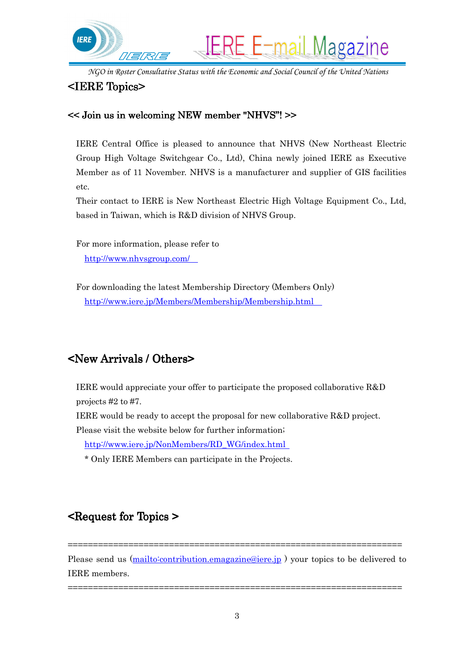

### <IERE Topics> <IERE Topics>

#### $<<$  Join us in welcoming NEW member "NHVS"! $>>$

IERE Central Office is pleased to announce that NHVS (New Northeast Electric Group High Voltage Switchgear Co., Ltd), China newly joined IERE as Executive Member as of 11 November. NHVS is a manufacturer and supplier of GIS facilities etc.

Their contact to IERE is New Northeast Electric High Voltage Equipment Co., Ltd, based in Taiwan, which is R&D division of NHVS Group.

For more information, please refer to http://www.nhvsgroup.com/

For downloading the latest Membership Directory (Members Only) http://www.iere.jp/Members/Membership/Membership.html

## $\leq$ New Arrivals / Others $\geq$

IERE would appreciate your offer to participate the proposed collaborative R&D projects #2 to #7.

IERE would be ready to accept the proposal for new collaborative R&D project.

Please visit the website below for further information;

http://www.iere.jp/NonMembers/RD\_WG/index.html

\* Only IERE Members can participate in the Projects.

### <Request for Topics > >

Please send us (mailto:contribution.emagazine@iere.jp) your topics to be delivered to IERE members.

==================================================================

==================================================================